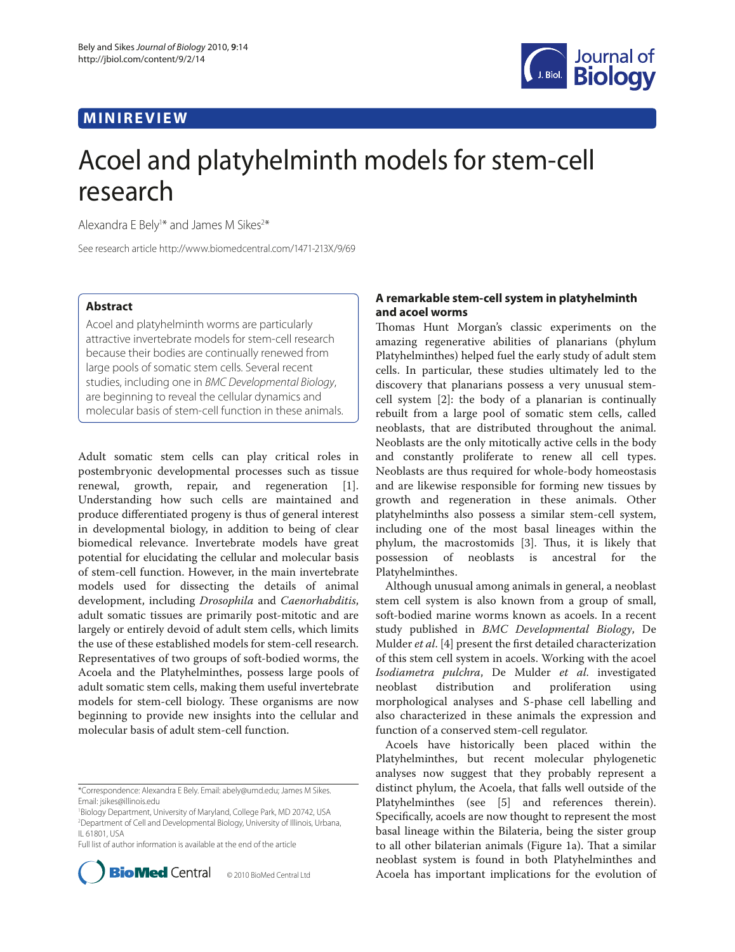## **MINIREVIEW**



# Acoel and platyhelminth models for stem-cell research

Alexandra E Bely<sup>1\*</sup> and James M Sikes<sup>2\*</sup>

See research article http://www.biomedcentral.com/1471-213X/9/69

#### **Abstract**

Acoel and platyhelminth worms are particularly attractive invertebrate models for stem-cell research because their bodies are continually renewed from large pools of somatic stem cells. Several recent studies, including one in *BMC Developmental Biology*, are beginning to reveal the cellular dynamics and molecular basis of stem-cell function in these animals.

Adult somatic stem cells can play critical roles in postembryonic developmental processes such as tissue renewal, growth, repair, and regeneration [1]. Understanding how such cells are maintained and produce differentiated progeny is thus of general interest in developmental biology, in addition to being of clear biomedical relevance. Invertebrate models have great potential for elucidating the cellular and molecular basis of stem-cell function. However, in the main invertebrate models used for dissecting the details of animal development, including *Drosophila* and *Caenorhabditis*, adult somatic tissues are primarily post-mitotic and are largely or entirely devoid of adult stem cells, which limits the use of these established models for stem-cell research. Representatives of two groups of soft-bodied worms, the Acoela and the Platyhelminthes, possess large pools of adult somatic stem cells, making them useful invertebrate models for stem-cell biology. These organisms are now beginning to provide new insights into the cellular and molecular basis of adult stem-cell function.

1 Biology Department, University of Maryland, College Park, MD 20742, USA 2 Department of Cell and Developmental Biology, University of Illinois, Urbana, IL 61801, USA

Full list of author information is available at the end of the article



### **A remarkable stem-cell system in platyhelminth and acoel worms**

Thomas Hunt Morgan's classic experiments on the amazing regenerative abilities of planarians (phylum Platyhelminthes) helped fuel the early study of adult stem cells. In particular, these studies ultimately led to the discovery that planarians possess a very unusual stemcell system [2]: the body of a planarian is continually rebuilt from a large pool of somatic stem cells, called neoblasts, that are distributed throughout the animal. Neoblasts are the only mitotically active cells in the body and constantly proliferate to renew all cell types. Neoblasts are thus required for whole-body homeostasis and are likewise responsible for forming new tissues by growth and regeneration in these animals. Other platyhelminths also possess a similar stem-cell system, including one of the most basal lineages within the phylum, the macrostomids [3]. Thus, it is likely that possession of neoblasts is ancestral for the Platyhelminthes.

Although unusual among animals in general, a neoblast stem cell system is also known from a group of small, soft-bodied marine worms known as acoels. In a recent study published in *BMC Developmental Biology*, De Mulder *et al*. [4] present the first detailed characterization of this stem cell system in acoels. Working with the acoel *Isodiametra pulchra*, De Mulder *et al*. investigated neoblast distribution and proliferation using morphological analyses and S-phase cell labelling and also characterized in these animals the expression and function of a conserved stem-cell regulator.

Acoels have historically been placed within the Platyhelminthes, but recent molecular phylogenetic analyses now suggest that they probably represent a distinct phylum, the Acoela, that falls well outside of the Platyhelminthes (see [5] and references therein). Specifically, acoels are now thought to represent the most basal lineage within the Bilateria, being the sister group to all other bilaterian animals (Figure 1a). That a similar neoblast system is found in both Platyhelminthes and Acoela has important implications for the evolution of

<sup>\*</sup>Correspondence: Alexandra E Bely. Email: abely@umd.edu; James M Sikes. Email: jsikes@illinois.edu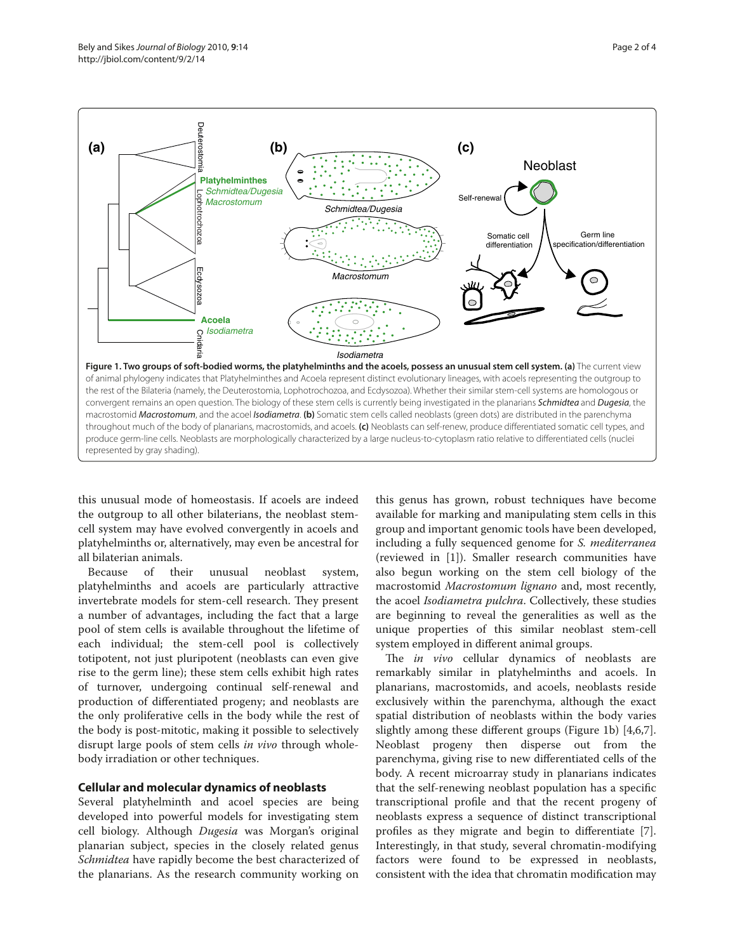

this unusual mode of homeostasis. If acoels are indeed the outgroup to all other bilaterians, the neoblast stemcell system may have evolved convergently in acoels and platyhelminths or, alternatively, may even be ancestral for all bilaterian animals.

of their unusual neoblast system, platyhelminths and acoels are particularly attractive invertebrate models for stem-cell research. They present a number of advantages, including the fact that a large pool of stem cells is available throughout the lifetime of each individual; the stem-cell pool is collectively totipotent, not just pluripotent (neoblasts can even give rise to the germ line); these stem cells exhibit high rates of turnover, undergoing continual self-renewal and production of differentiated progeny; and neoblasts are the only proliferative cells in the body while the rest of the body is post-mitotic, making it possible to selectively disrupt large pools of stem cells *in vivo* through wholebody irradiation or other techniques.

#### **Cellular and molecular dynamics of neoblasts**

Several platyhelminth and acoel species are being developed into powerful models for investigating stem cell biology. Although *Dugesia* was Morgan's original planarian subject, species in the closely related genus *Schmidtea* have rapidly become the best characterized of the planarians. As the research community working on this genus has grown, robust techniques have become available for marking and manipulating stem cells in this group and important genomic tools have been developed, including a fully sequenced genome for *S. mediterranea* (reviewed in [1]). Smaller research communities have also begun working on the stem cell biology of the macrostomid *Macrostomum lignano* and, most recently, the acoel *Isodiametra pulchra*. Collectively, these studies are beginning to reveal the generalities as well as the unique properties of this similar neoblast stem-cell system employed in different animal groups.

The *in vivo* cellular dynamics of neoblasts are remarkably similar in platyhelminths and acoels. In planarians, macrostomids, and acoels, neoblasts reside exclusively within the parenchyma, although the exact spatial distribution of neoblasts within the body varies slightly among these different groups (Figure 1b) [4,6,7]. Neoblast progeny then disperse out from the parenchyma, giving rise to new differentiated cells of the body. A recent microarray study in planarians indicates that the self-renewing neoblast population has a specific transcriptional profile and that the recent progeny of neoblasts express a sequence of distinct transcriptional profiles as they migrate and begin to differentiate [7]. Interestingly, in that study, several chromatin-modifying factors were found to be expressed in neoblasts, consistent with the idea that chromatin modification may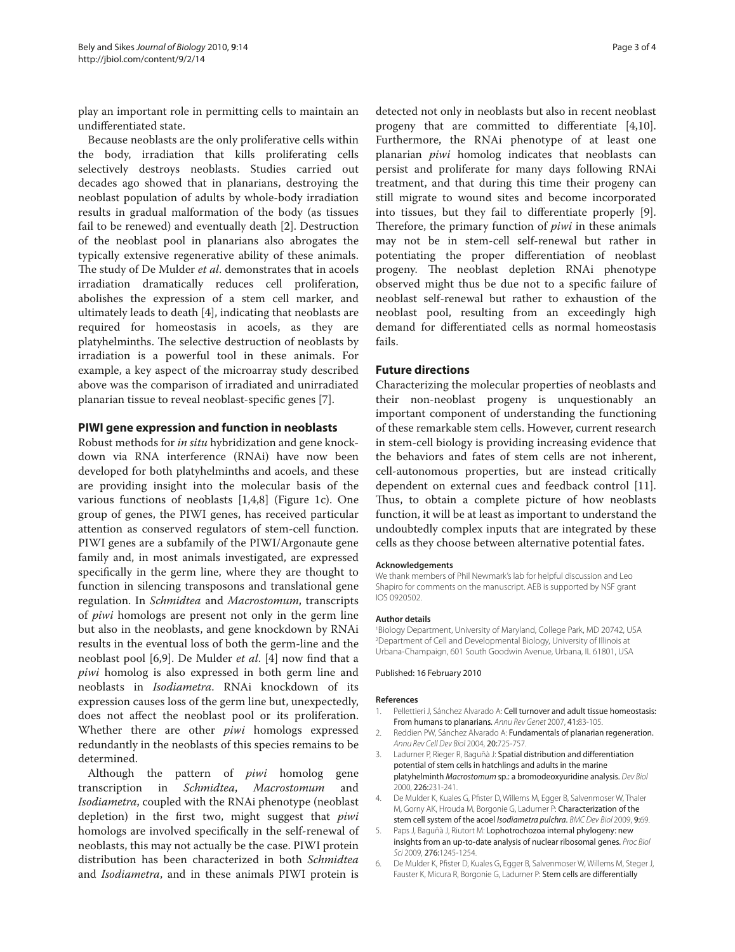play an important role in permitting cells to maintain an undifferentiated state.

Because neoblasts are the only proliferative cells within the body, irradiation that kills proliferating cells selectively destroys neoblasts. Studies carried out decades ago showed that in planarians, destroying the neoblast population of adults by whole-body irradiation results in gradual malformation of the body (as tissues fail to be renewed) and eventually death [2]. Destruction of the neoblast pool in planarians also abrogates the typically extensive regenerative ability of these animals. The study of De Mulder *et al*. demonstrates that in acoels irradiation dramatically reduces cell proliferation, abolishes the expression of a stem cell marker, and ultimately leads to death [4], indicating that neoblasts are required for homeostasis in acoels, as they are platyhelminths. The selective destruction of neoblasts by irradiation is a powerful tool in these animals. For example, a key aspect of the microarray study described above was the comparison of irradiated and unirradiated planarian tissue to reveal neoblast-specific genes [7].

#### **PIWI gene expression and function in neoblasts**

Robust methods for *in situ* hybridization and gene knockdown via RNA interference (RNAi) have now been developed for both platyhelminths and acoels, and these are providing insight into the molecular basis of the various functions of neoblasts [1,4,8] (Figure 1c). One group of genes, the PIWI genes, has received particular attention as conserved regulators of stem-cell function. PIWI genes are a subfamily of the PIWI/Argonaute gene family and, in most animals investigated, are expressed specifically in the germ line, where they are thought to function in silencing transposons and translational gene regulation. In *Schmidtea* and *Macrostomum*, transcripts of *piwi* homologs are present not only in the germ line but also in the neoblasts, and gene knockdown by RNAi results in the eventual loss of both the germ-line and the neoblast pool [6,9]. De Mulder *et al*. [4] now find that a *piwi* homolog is also expressed in both germ line and neoblasts in *Isodiametra*. RNAi knockdown of its expression causes loss of the germ line but, unexpectedly, does not affect the neoblast pool or its proliferation. Whether there are other *piwi* homologs expressed redundantly in the neoblasts of this species remains to be determined.

Although the pattern of *piwi* homolog gene transcription in *Schmidtea*, *Macrostomum* and *Isodiametra*, coupled with the RNAi phenotype (neoblast depletion) in the first two, might suggest that *piwi*  homologs are involved specifically in the self-renewal of neoblasts, this may not actually be the case. PIWI protein distribution has been characterized in both *Schmidtea* and *Isodiametra*, and in these animals PIWI protein is

detected not only in neoblasts but also in recent neoblast progeny that are committed to differentiate [4,10]. Furthermore, the RNAi phenotype of at least one planarian *piwi* homolog indicates that neoblasts can persist and proliferate for many days following RNAi treatment, and that during this time their progeny can still migrate to wound sites and become incorporated into tissues, but they fail to differentiate properly [9]. Therefore, the primary function of *piwi* in these animals may not be in stem-cell self-renewal but rather in potentiating the proper differentiation of neoblast progeny. The neoblast depletion RNAi phenotype observed might thus be due not to a specific failure of neoblast self-renewal but rather to exhaustion of the neoblast pool, resulting from an exceedingly high demand for differentiated cells as normal homeostasis fails.

#### **Future directions**

Characterizing the molecular properties of neoblasts and their non-neoblast progeny is unquestionably an important component of understanding the functioning of these remarkable stem cells. However, current research in stem-cell biology is providing increasing evidence that the behaviors and fates of stem cells are not inherent, cell-autonomous properties, but are instead critically dependent on external cues and feedback control [11]. Thus, to obtain a complete picture of how neoblasts function, it will be at least as important to understand the undoubtedly complex inputs that are integrated by these cells as they choose between alternative potential fates.

#### **Acknowledgements**

We thank members of Phil Newmark's lab for helpful discussion and Leo Shapiro for comments on the manuscript. AEB is supported by NSF grant IOS 0920502.

#### **Author details**

1 Biology Department, University of Maryland, College Park, MD 20742, USA 2 Department of Cell and Developmental Biology, University of Illinois at Urbana-Champaign, 601 South Goodwin Avenue, Urbana, IL 61801, USA

#### Published: 16 February 2010

#### **References**

- 1. Pellettieri J, Sánchez Alvarado A: Cell turnover and adult tissue homeostasis: From humans to planarians. *Annu Rev Genet* 2007, 41:83-105.
- 2. Reddien PW, Sánchez Alvarado A: Fundamentals of planarian regeneration. *Annu Rev Cell Dev Biol* 2004, 20:725-757.
- 3. Ladurner P, Rieger R, Baguñà J: Spatial distribution and differentiation potential of stem cells in hatchlings and adults in the marine platyhelminth *Macrostomum* sp.: a bromodeoxyuridine analysis. *Dev Biol*  2000, 226:231-241.
- 4. De Mulder K, Kuales G, Pfister D, Willems M, Egger B, Salvenmoser W, Thaler M, Gorny AK, Hrouda M, Borgonie G, Ladurner P: Characterization of the stem cell system of the acoel *Isodiametra pulchra*. *BMC Dev Biol* 2009, 9:69.
- 5. Paps J, Baguñà J, Riutort M: Lophotrochozoa internal phylogeny: new insights from an up-to-date analysis of nuclear ribosomal genes. *Proc Biol Sci* 2009, 276:1245-1254.
- 6. De Mulder K, Pfister D, Kuales G, Egger B, Salvenmoser W, Willems M, Steger J, Fauster K, Micura R, Borgonie G, Ladurner P: Stem cells are differentially